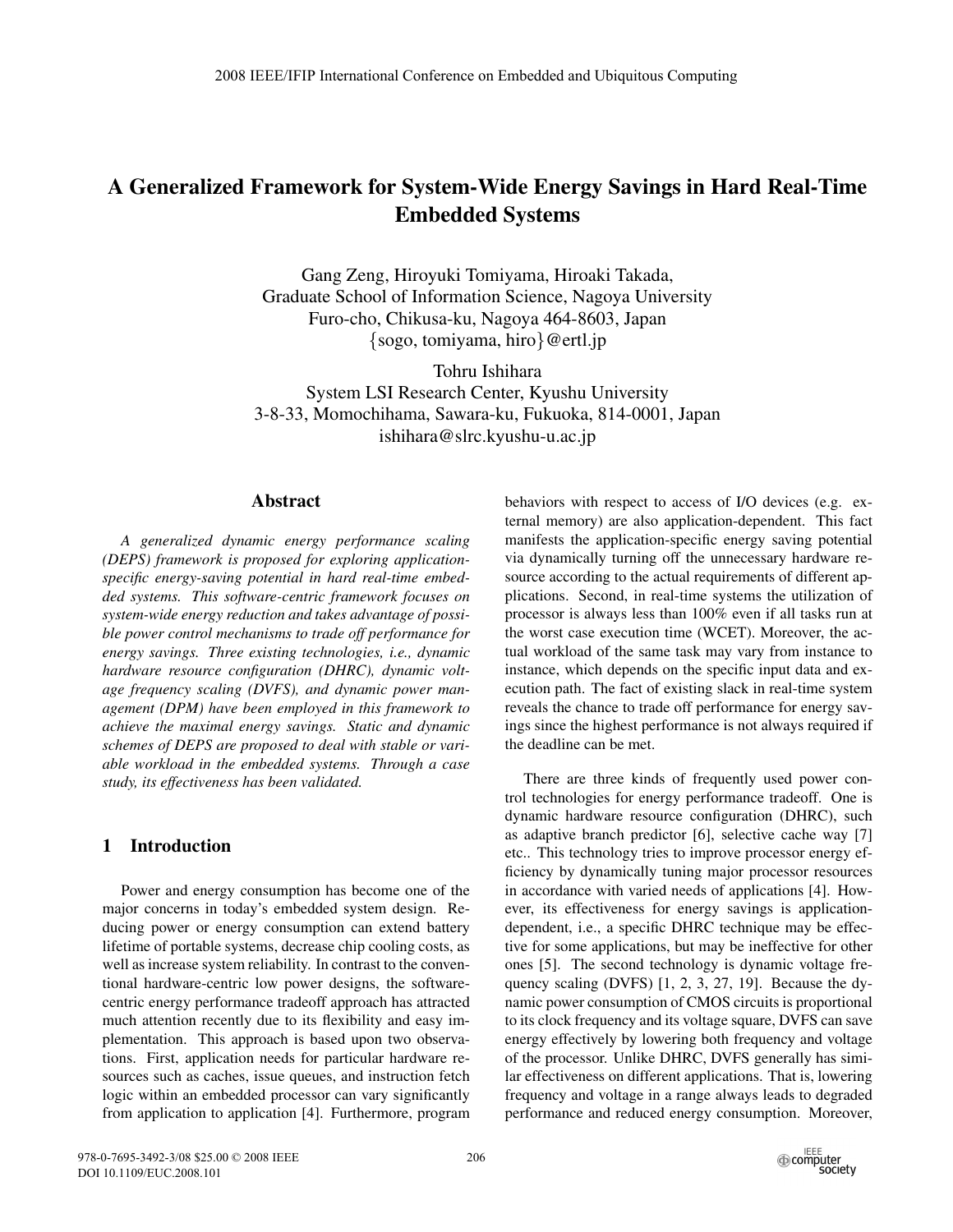# **A Generalized Framework for System-Wide Energy Savings in Hard Real-Time Embedded Systems**

Gang Zeng, Hiroyuki Tomiyama, Hiroaki Takada, Graduate School of Information Science, Nagoya University Furo-cho, Chikusa-ku, Nagoya 464-8603, Japan *{*sogo, tomiyama, hiro*}*@ertl.jp

Tohru Ishihara System LSI Research Center, Kyushu University 3-8-33, Momochihama, Sawara-ku, Fukuoka, 814-0001, Japan ishihara@slrc.kyushu-u.ac.jp

#### **Abstract**

*A generalized dynamic energy performance scaling (DEPS) framework is proposed for exploring applicationspecific energy-saving potential in hard real-time embedded systems. This software-centric framework focuses on system-wide energy reduction and takes advantage of possible power control mechanisms to trade off performance for energy savings. Three existing technologies, i.e., dynamic hardware resource configuration (DHRC), dynamic voltage frequency scaling (DVFS), and dynamic power management (DPM) have been employed in this framework to achieve the maximal energy savings. Static and dynamic schemes of DEPS are proposed to deal with stable or variable workload in the embedded systems. Through a case study, its effectiveness has been validated.*

# **1 Introduction**

Power and energy consumption has become one of the major concerns in today's embedded system design. Reducing power or energy consumption can extend battery lifetime of portable systems, decrease chip cooling costs, as well as increase system reliability. In contrast to the conventional hardware-centric low power designs, the softwarecentric energy performance tradeoff approach has attracted much attention recently due to its flexibility and easy implementation. This approach is based upon two observations. First, application needs for particular hardware resources such as caches, issue queues, and instruction fetch logic within an embedded processor can vary significantly from application to application [4]. Furthermore, program behaviors with respect to access of I/O devices (e.g. external memory) are also application-dependent. This fact manifests the application-specific energy saving potential via dynamically turning off the unnecessary hardware resource according to the actual requirements of different applications. Second, in real-time systems the utilization of processor is always less than 100% even if all tasks run at the worst case execution time (WCET). Moreover, the actual workload of the same task may vary from instance to instance, which depends on the specific input data and execution path. The fact of existing slack in real-time system reveals the chance to trade off performance for energy savings since the highest performance is not always required if the deadline can be met.

There are three kinds of frequently used power control technologies for energy performance tradeoff. One is dynamic hardware resource configuration (DHRC), such as adaptive branch predictor [6], selective cache way [7] etc.. This technology tries to improve processor energy efficiency by dynamically tuning major processor resources in accordance with varied needs of applications [4]. However, its effectiveness for energy savings is applicationdependent, i.e., a specific DHRC technique may be effective for some applications, but may be ineffective for other ones [5]. The second technology is dynamic voltage frequency scaling (DVFS) [1, 2, 3, 27, 19]. Because the dynamic power consumption of CMOS circuits is proportional to its clock frequency and its voltage square, DVFS can save energy effectively by lowering both frequency and voltage of the processor. Unlike DHRC, DVFS generally has similar effectiveness on different applications. That is, lowering frequency and voltage in a range always leads to degraded performance and reduced energy consumption. Moreover,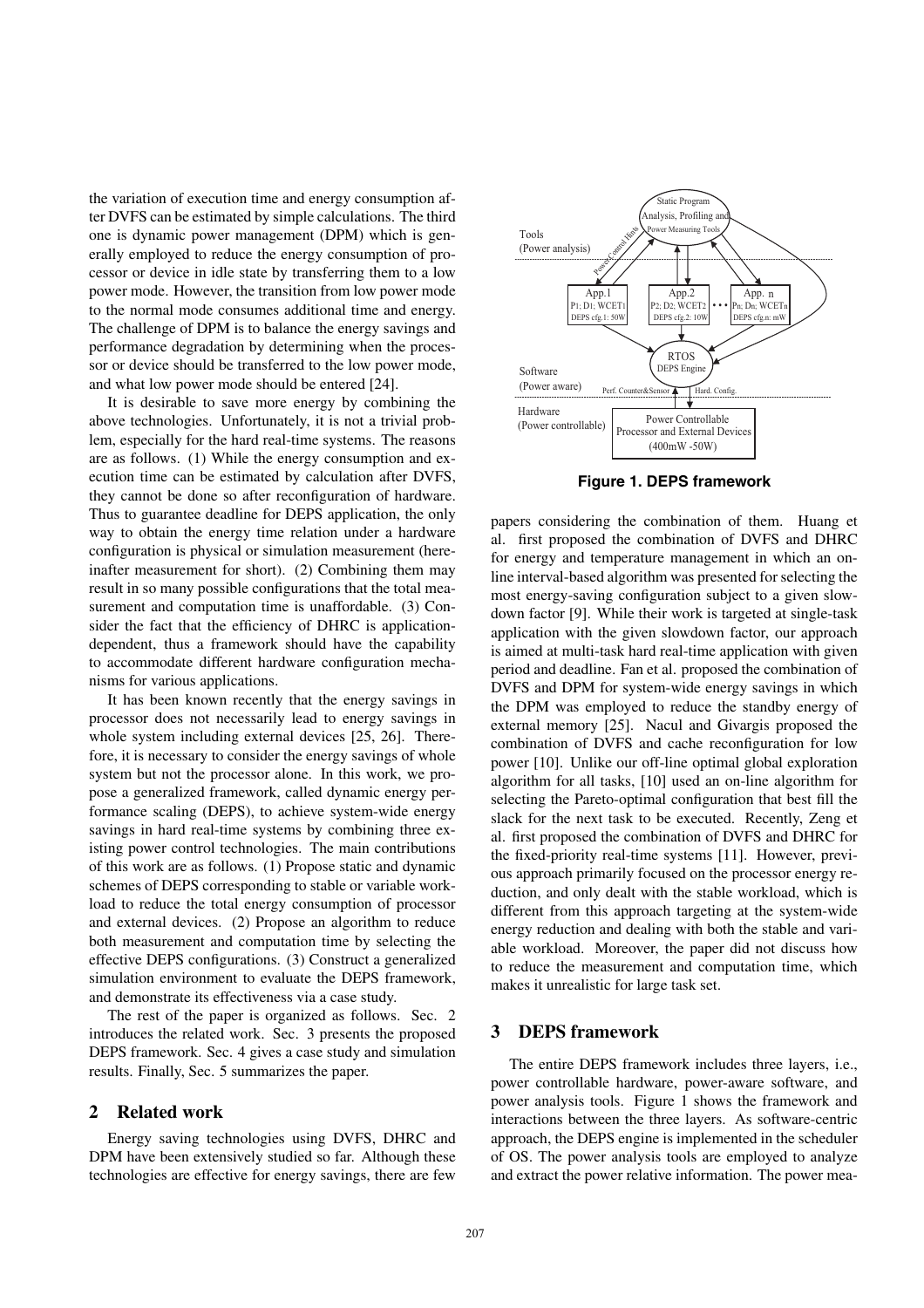the variation of execution time and energy consumption after DVFS can be estimated by simple calculations. The third one is dynamic power management (DPM) which is generally employed to reduce the energy consumption of processor or device in idle state by transferring them to a low power mode. However, the transition from low power mode to the normal mode consumes additional time and energy. The challenge of DPM is to balance the energy savings and performance degradation by determining when the processor or device should be transferred to the low power mode, and what low power mode should be entered [24].

It is desirable to save more energy by combining the above technologies. Unfortunately, it is not a trivial problem, especially for the hard real-time systems. The reasons are as follows. (1) While the energy consumption and execution time can be estimated by calculation after DVFS, they cannot be done so after reconfiguration of hardware. Thus to guarantee deadline for DEPS application, the only way to obtain the energy time relation under a hardware configuration is physical or simulation measurement (hereinafter measurement for short). (2) Combining them may result in so many possible configurations that the total measurement and computation time is unaffordable. (3) Consider the fact that the efficiency of DHRC is applicationdependent, thus a framework should have the capability to accommodate different hardware configuration mechanisms for various applications.

It has been known recently that the energy savings in processor does not necessarily lead to energy savings in whole system including external devices [25, 26]. Therefore, it is necessary to consider the energy savings of whole system but not the processor alone. In this work, we propose a generalized framework, called dynamic energy performance scaling (DEPS), to achieve system-wide energy savings in hard real-time systems by combining three existing power control technologies. The main contributions of this work are as follows. (1) Propose static and dynamic schemes of DEPS corresponding to stable or variable workload to reduce the total energy consumption of processor and external devices. (2) Propose an algorithm to reduce both measurement and computation time by selecting the effective DEPS configurations. (3) Construct a generalized simulation environment to evaluate the DEPS framework, and demonstrate its effectiveness via a case study.

The rest of the paper is organized as follows. Sec. 2 introduces the related work. Sec. 3 presents the proposed DEPS framework. Sec. 4 gives a case study and simulation results. Finally, Sec. 5 summarizes the paper.

## **2 Related work**

Energy saving technologies using DVFS, DHRC and DPM have been extensively studied so far. Although these technologies are effective for energy savings, there are few



**Figure 1. DEPS framework**

papers considering the combination of them. Huang et al. first proposed the combination of DVFS and DHRC for energy and temperature management in which an online interval-based algorithm was presented for selecting the most energy-saving configuration subject to a given slowdown factor [9]. While their work is targeted at single-task application with the given slowdown factor, our approach is aimed at multi-task hard real-time application with given period and deadline. Fan et al. proposed the combination of DVFS and DPM for system-wide energy savings in which the DPM was employed to reduce the standby energy of external memory [25]. Nacul and Givargis proposed the combination of DVFS and cache reconfiguration for low power [10]. Unlike our off-line optimal global exploration algorithm for all tasks, [10] used an on-line algorithm for selecting the Pareto-optimal configuration that best fill the slack for the next task to be executed. Recently, Zeng et al. first proposed the combination of DVFS and DHRC for the fixed-priority real-time systems [11]. However, previous approach primarily focused on the processor energy reduction, and only dealt with the stable workload, which is different from this approach targeting at the system-wide energy reduction and dealing with both the stable and variable workload. Moreover, the paper did not discuss how to reduce the measurement and computation time, which makes it unrealistic for large task set.

#### **3 DEPS framework**

The entire DEPS framework includes three layers, i.e., power controllable hardware, power-aware software, and power analysis tools. Figure 1 shows the framework and interactions between the three layers. As software-centric approach, the DEPS engine is implemented in the scheduler of OS. The power analysis tools are employed to analyze and extract the power relative information. The power mea-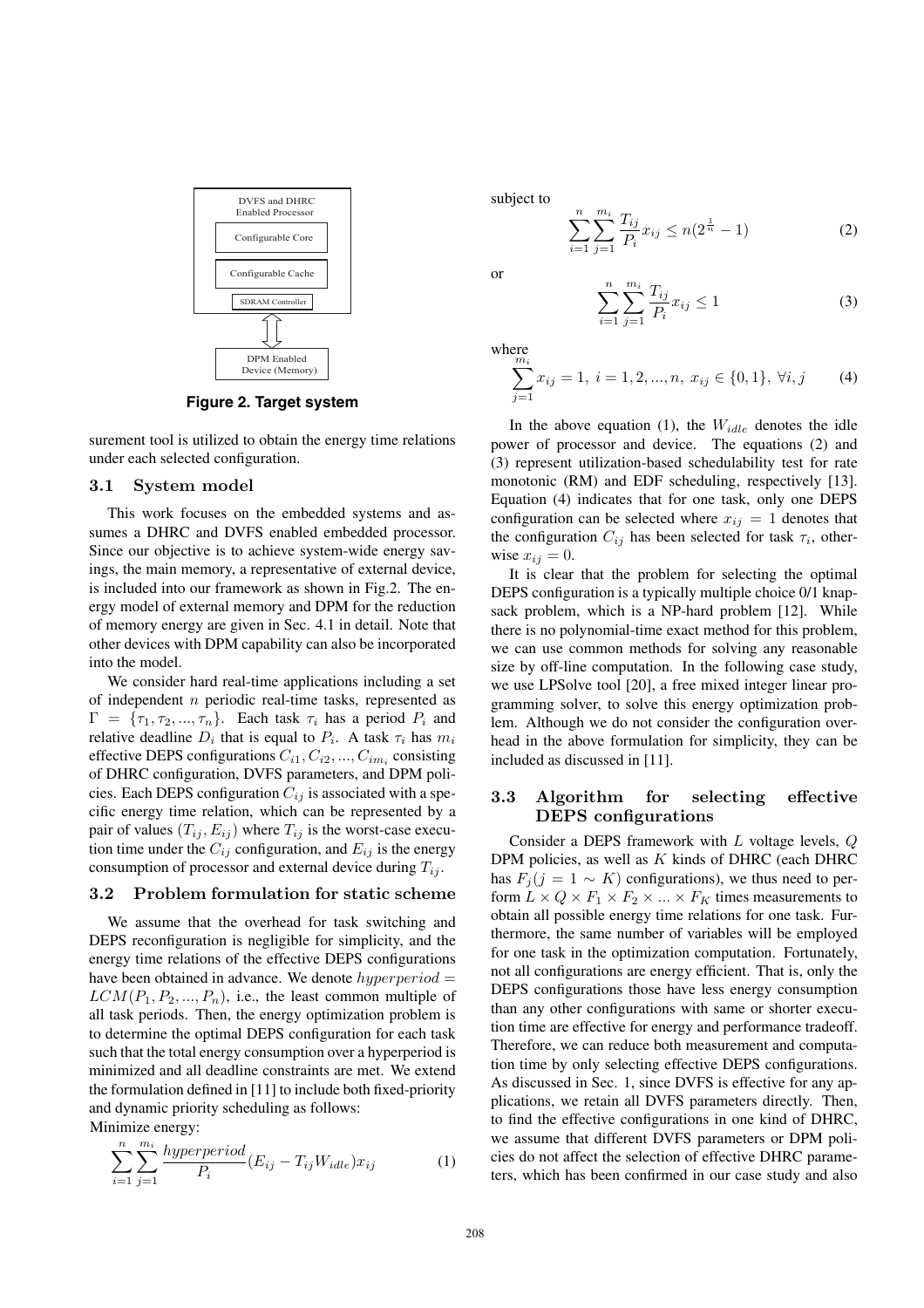

**Figure 2. Target system**

surement tool is utilized to obtain the energy time relations under each selected configuration.

#### **3.1 System model**

This work focuses on the embedded systems and assumes a DHRC and DVFS enabled embedded processor. Since our objective is to achieve system-wide energy savings, the main memory, a representative of external device, is included into our framework as shown in Fig.2. The energy model of external memory and DPM for the reduction of memory energy are given in Sec. 4.1 in detail. Note that other devices with DPM capability can also be incorporated into the model.

We consider hard real-time applications including a set of independent *n* periodic real-time tasks, represented as  $\Gamma = {\tau_1, \tau_2, ..., \tau_n}$ . Each task  $\tau_i$  has a period  $P_i$  and relative deadline  $D_i$  that is equal to  $P_i$ . A task  $\tau_i$  has  $m_i$ effective DEPS configurations *Ci*1*, Ci*2*, ..., Cim<sup>i</sup>* consisting of DHRC configuration, DVFS parameters, and DPM policies. Each DEPS configuration  $C_{ij}$  is associated with a specific energy time relation, which can be represented by a pair of values  $(T_{ij}, E_{ij})$  where  $T_{ij}$  is the worst-case execution time under the  $C_{ij}$  configuration, and  $E_{ij}$  is the energy consumption of processor and external device during *Tij* .

## **3.2 Problem formulation for static scheme**

We assume that the overhead for task switching and DEPS reconfiguration is negligible for simplicity, and the energy time relations of the effective DEPS configurations have been obtained in advance. We denote *hyperperiod* =  $LCM(P_1, P_2, ..., P_n)$ , i.e., the least common multiple of all task periods. Then, the energy optimization problem is to determine the optimal DEPS configuration for each task such that the total energy consumption over a hyperperiod is minimized and all deadline constraints are met. We extend the formulation defined in [11] to include both fixed-priority and dynamic priority scheduling as follows:

Minimize energy:

$$
\sum_{i=1}^{n} \sum_{j=1}^{m_i} \frac{hyperperiod}{P_i} (E_{ij} - T_{ij}W_{idle}) x_{ij}
$$
 (1)

subject to

$$
\sum_{i=1}^{n} \sum_{j=1}^{m_i} \frac{T_{ij}}{P_i} x_{ij} \le n(2^{\frac{1}{n}} - 1)
$$
 (2)

or

$$
\sum_{i=1}^{n} \sum_{j=1}^{m_i} \frac{T_{ij}}{P_i} x_{ij} \le 1
$$
 (3)

where

$$
\sum_{j=1}^{m_i} x_{ij} = 1, \ i = 1, 2, ..., n, \ x_{ij} \in \{0, 1\}, \ \forall i, j \tag{4}
$$

In the above equation (1), the *Widle* denotes the idle power of processor and device. The equations (2) and (3) represent utilization-based schedulability test for rate monotonic (RM) and EDF scheduling, respectively [13]. Equation (4) indicates that for one task, only one DEPS configuration can be selected where  $x_{ij} = 1$  denotes that the configuration  $C_{ij}$  has been selected for task  $\tau_i$ , otherwise  $x_{ii} = 0$ .

It is clear that the problem for selecting the optimal DEPS configuration is a typically multiple choice 0/1 knapsack problem, which is a NP-hard problem [12]. While there is no polynomial-time exact method for this problem, we can use common methods for solving any reasonable size by off-line computation. In the following case study, we use LPSolve tool [20], a free mixed integer linear programming solver, to solve this energy optimization problem. Although we do not consider the configuration overhead in the above formulation for simplicity, they can be included as discussed in [11].

#### **3.3 Algorithm for selecting effective DEPS configurations**

Consider a DEPS framework with *L* voltage levels, *Q* DPM policies, as well as *K* kinds of DHRC (each DHRC has  $F_i$ ( $j = 1 \sim K$ ) configurations), we thus need to perform  $L \times Q \times F_1 \times F_2 \times \ldots \times F_K$  times measurements to obtain all possible energy time relations for one task. Furthermore, the same number of variables will be employed for one task in the optimization computation. Fortunately, not all configurations are energy efficient. That is, only the DEPS configurations those have less energy consumption than any other configurations with same or shorter execution time are effective for energy and performance tradeoff. Therefore, we can reduce both measurement and computation time by only selecting effective DEPS configurations. As discussed in Sec. 1, since DVFS is effective for any applications, we retain all DVFS parameters directly. Then, to find the effective configurations in one kind of DHRC, we assume that different DVFS parameters or DPM policies do not affect the selection of effective DHRC parameters, which has been confirmed in our case study and also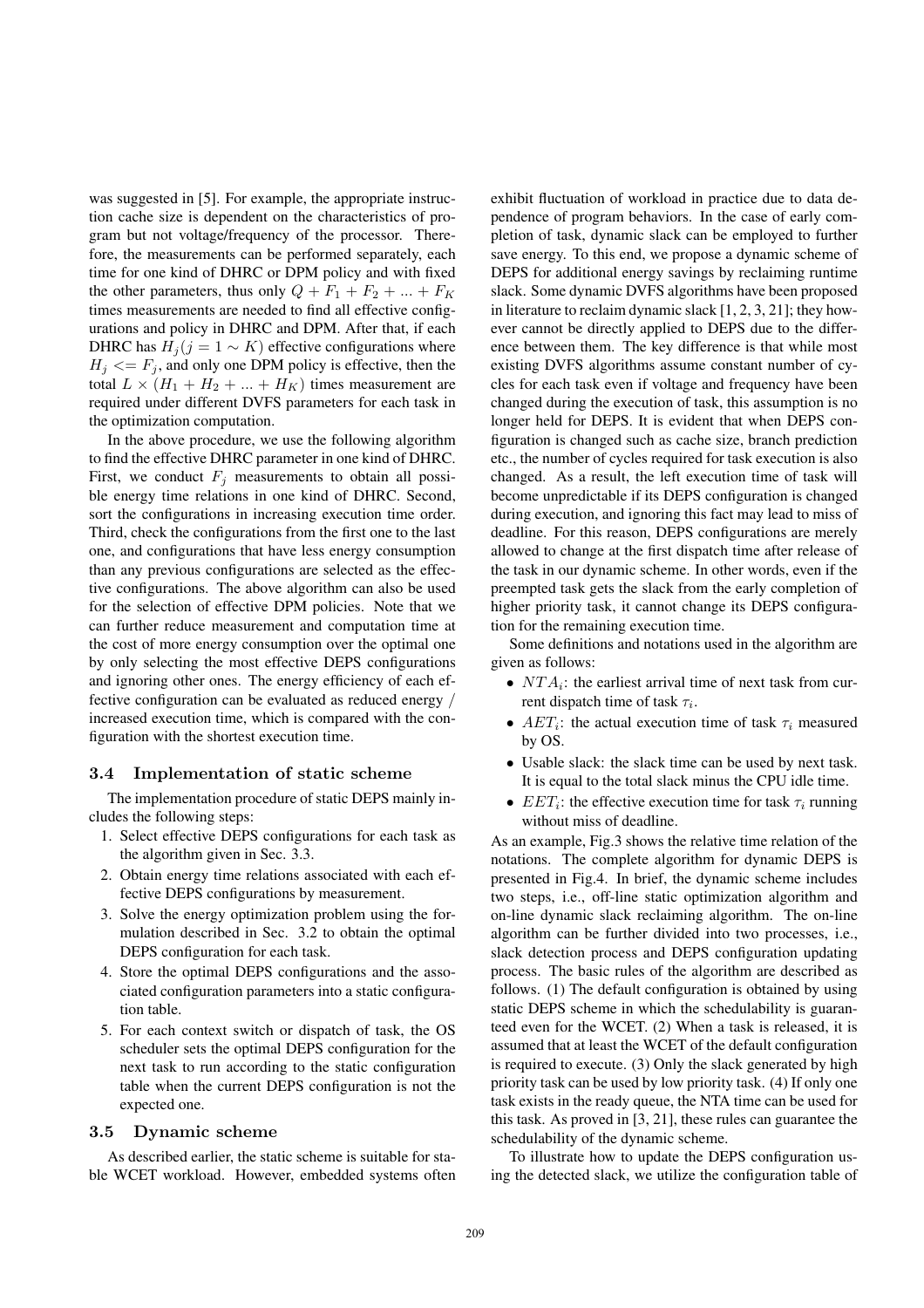was suggested in [5]. For example, the appropriate instruction cache size is dependent on the characteristics of program but not voltage/frequency of the processor. Therefore, the measurements can be performed separately, each time for one kind of DHRC or DPM policy and with fixed the other parameters, thus only  $Q + F_1 + F_2 + ... + F_K$ times measurements are needed to find all effective configurations and policy in DHRC and DPM. After that, if each DHRC has  $H_j$ ( $j = 1 \sim K$ ) effective configurations where  $H_i \leq F_i$ , and only one DPM policy is effective, then the total  $L \times (H_1 + H_2 + \ldots + H_K)$  times measurement are required under different DVFS parameters for each task in the optimization computation.

In the above procedure, we use the following algorithm to find the effective DHRC parameter in one kind of DHRC. First, we conduct  $F_j$  measurements to obtain all possible energy time relations in one kind of DHRC. Second, sort the configurations in increasing execution time order. Third, check the configurations from the first one to the last one, and configurations that have less energy consumption than any previous configurations are selected as the effective configurations. The above algorithm can also be used for the selection of effective DPM policies. Note that we can further reduce measurement and computation time at the cost of more energy consumption over the optimal one by only selecting the most effective DEPS configurations and ignoring other ones. The energy efficiency of each effective configuration can be evaluated as reduced energy */* increased execution time, which is compared with the configuration with the shortest execution time.

#### **3.4 Implementation of static scheme**

The implementation procedure of static DEPS mainly includes the following steps:

- 1. Select effective DEPS configurations for each task as the algorithm given in Sec. 3.3.
- 2. Obtain energy time relations associated with each effective DEPS configurations by measurement.
- 3. Solve the energy optimization problem using the formulation described in Sec. 3.2 to obtain the optimal DEPS configuration for each task.
- 4. Store the optimal DEPS configurations and the associated configuration parameters into a static configuration table.
- 5. For each context switch or dispatch of task, the OS scheduler sets the optimal DEPS configuration for the next task to run according to the static configuration table when the current DEPS configuration is not the expected one.

#### **3.5 Dynamic scheme**

As described earlier, the static scheme is suitable for stable WCET workload. However, embedded systems often exhibit fluctuation of workload in practice due to data dependence of program behaviors. In the case of early completion of task, dynamic slack can be employed to further save energy. To this end, we propose a dynamic scheme of DEPS for additional energy savings by reclaiming runtime slack. Some dynamic DVFS algorithms have been proposed in literature to reclaim dynamic slack [1, 2, 3, 21]; they however cannot be directly applied to DEPS due to the difference between them. The key difference is that while most existing DVFS algorithms assume constant number of cycles for each task even if voltage and frequency have been changed during the execution of task, this assumption is no longer held for DEPS. It is evident that when DEPS configuration is changed such as cache size, branch prediction etc., the number of cycles required for task execution is also changed. As a result, the left execution time of task will become unpredictable if its DEPS configuration is changed during execution, and ignoring this fact may lead to miss of deadline. For this reason, DEPS configurations are merely allowed to change at the first dispatch time after release of the task in our dynamic scheme. In other words, even if the preempted task gets the slack from the early completion of higher priority task, it cannot change its DEPS configuration for the remaining execution time.

Some definitions and notations used in the algorithm are given as follows:

- *NTA*<sup>*i*</sup>: the earliest arrival time of next task from current dispatch time of task *τ<sup>i</sup>* .
- $AET_i$ : the actual execution time of task  $\tau_i$  measured by OS.
- *•* Usable slack: the slack time can be used by next task. It is equal to the total slack minus the CPU idle time.
- $EET_i$ : the effective execution time for task  $\tau_i$  running without miss of deadline.

As an example, Fig.3 shows the relative time relation of the notations. The complete algorithm for dynamic DEPS is presented in Fig.4. In brief, the dynamic scheme includes two steps, i.e., off-line static optimization algorithm and on-line dynamic slack reclaiming algorithm. The on-line algorithm can be further divided into two processes, i.e., slack detection process and DEPS configuration updating process. The basic rules of the algorithm are described as follows. (1) The default configuration is obtained by using static DEPS scheme in which the schedulability is guaranteed even for the WCET. (2) When a task is released, it is assumed that at least the WCET of the default configuration is required to execute. (3) Only the slack generated by high priority task can be used by low priority task. (4) If only one task exists in the ready queue, the NTA time can be used for this task. As proved in [3, 21], these rules can guarantee the schedulability of the dynamic scheme.

To illustrate how to update the DEPS configuration using the detected slack, we utilize the configuration table of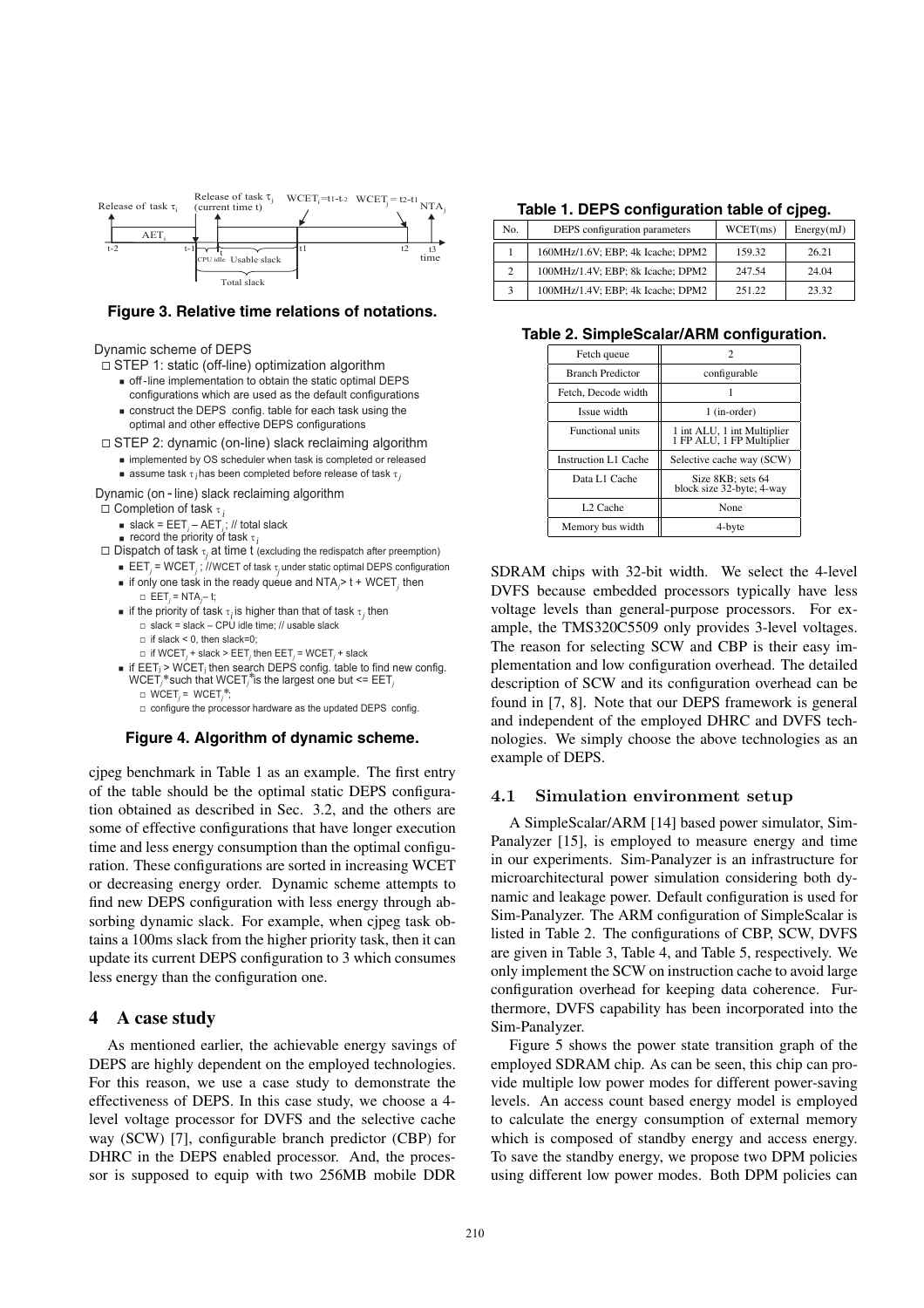

#### **Figure 3. Relative time relations of notations.**

Dynamic scheme of DEPS

 $\square$  STEP 1: static (off-line) optimization algorithm

- $\blacksquare$  off-line implementation to obtain the static optimal DEPS configurations which are used as the default configurations
- $\blacksquare$  construct the DEPS config. table for each task using the optimal and other effective DEPS configurations
- □ STEP 2: dynamic (on-line) slack reclaiming algorithm
	- n implemented by OS scheduler when task is completed or released
	- assume task  $\tau_i$  has been completed before release of task  $\tau_j$

*i*

Dynamic (on - line) slack reclaiming algorithm

- $\Box$  Completion of task  $\tau$ , *i*
	- <sup>n</sup> slack = EET*<sup>i</sup>* AET*<sup>i</sup>* ; // total slack <sup>n</sup> record the priority of task τ
	-
- $\Box$  Dispatch of task  $\tau_j$  at time  $t$  (excluding the redispatch after preemption)
	- $\blacksquare$  **EET**<sub>*j*</sub> = WCET<sub>*j</sub>*; //WCET of task  $\tau_j$  under static optimal DEPS configuration</sub>  $\blacksquare$  if only one task in the ready queue and NTA $_j$ > t + WCET $_j$  then
	- $\Box$  EET<sub>j</sub> = NTA<sub>j</sub>-t;  $\blacksquare$  if the priority of task  $\tau^{\phantom{\dagger}}_i$  is higher than that of task  $\tau^{\phantom{\dagger}}_j$  then  $\Box$  slack = slack – CPU idle time; // usable slack
		- $\Box$  if slack < 0, then slack=0;
		- $\Box$  if WCET<sub>*i*</sub> + slack > EET<sub>*i*</sub> then EET<sub>*i*</sub> = WCET<sub>*i*</sub> + slack
	- $\blacksquare$  if EET<sub>j</sub> > WCET<sub>i</sub> then search DEPS config. table to find new config.  $WCET_j^*$  such that  $WCET_j^*$  is the largest one but  $\leq$   $EET_j$ 
		- $\Box$  WCET<sub>*j*</sub> = WCET<sub>*j*</sub>\*;

 $\square$  configure the processor hardware as the updated DEPS config.

#### **Figure 4. Algorithm of dynamic scheme.**

cjpeg benchmark in Table 1 as an example. The first entry of the table should be the optimal static DEPS configuration obtained as described in Sec. 3.2, and the others are some of effective configurations that have longer execution time and less energy consumption than the optimal configuration. These configurations are sorted in increasing WCET or decreasing energy order. Dynamic scheme attempts to find new DEPS configuration with less energy through absorbing dynamic slack. For example, when cjpeg task obtains a 100ms slack from the higher priority task, then it can update its current DEPS configuration to 3 which consumes less energy than the configuration one.

# **4 A case study**

As mentioned earlier, the achievable energy savings of DEPS are highly dependent on the employed technologies. For this reason, we use a case study to demonstrate the effectiveness of DEPS. In this case study, we choose a 4 level voltage processor for DVFS and the selective cache way (SCW) [7], configurable branch predictor (CBP) for DHRC in the DEPS enabled processor. And, the processor is supposed to equip with two 256MB mobile DDR

#### **Table 1. DEPS configuration table of cjpeg.**

| No.            | DEPS configuration parameters     | WCEPT(ms) | Energy(mJ) |
|----------------|-----------------------------------|-----------|------------|
|                | 160MHz/1.6V; EBP; 4k Icache; DPM2 | 159.32    | 26.21      |
| $\overline{2}$ | 100MHz/1.4V; EBP; 8k Icache; DPM2 | 247.54    | 24.04      |
| 3              | 100MHz/1.4V; EBP; 4k Icache; DPM2 | 251.22    | 23.32      |

**Table 2. SimpleScalar/ARM configuration.**

| Fetch queue                 | 7                                                        |
|-----------------------------|----------------------------------------------------------|
| <b>Branch Predictor</b>     | configurable                                             |
| Fetch, Decode width         |                                                          |
| Issue width                 | 1 (in-order)                                             |
| <b>Functional units</b>     | 1 int ALU, 1 int Multiplier<br>1 FP ALU, 1 FP Multiplier |
| <b>Instruction L1 Cache</b> | Selective cache way (SCW)                                |
| Data L1 Cache               | Size 8KB; sets 64<br>block size 32-byte; 4-way           |
| L <sub>2</sub> Cache        | None                                                     |
| Memory bus width            | 4-byte                                                   |

SDRAM chips with 32-bit width. We select the 4-level DVFS because embedded processors typically have less voltage levels than general-purpose processors. For example, the TMS320C5509 only provides 3-level voltages. The reason for selecting SCW and CBP is their easy implementation and low configuration overhead. The detailed description of SCW and its configuration overhead can be found in [7, 8]. Note that our DEPS framework is general and independent of the employed DHRC and DVFS technologies. We simply choose the above technologies as an example of DEPS.

#### **4.1 Simulation environment setup**

A SimpleScalar/ARM [14] based power simulator, Sim-Panalyzer [15], is employed to measure energy and time in our experiments. Sim-Panalyzer is an infrastructure for microarchitectural power simulation considering both dynamic and leakage power. Default configuration is used for Sim-Panalyzer. The ARM configuration of SimpleScalar is listed in Table 2. The configurations of CBP, SCW, DVFS are given in Table 3, Table 4, and Table 5, respectively. We only implement the SCW on instruction cache to avoid large configuration overhead for keeping data coherence. Furthermore, DVFS capability has been incorporated into the Sim-Panalyzer.

Figure 5 shows the power state transition graph of the employed SDRAM chip. As can be seen, this chip can provide multiple low power modes for different power-saving levels. An access count based energy model is employed to calculate the energy consumption of external memory which is composed of standby energy and access energy. To save the standby energy, we propose two DPM policies using different low power modes. Both DPM policies can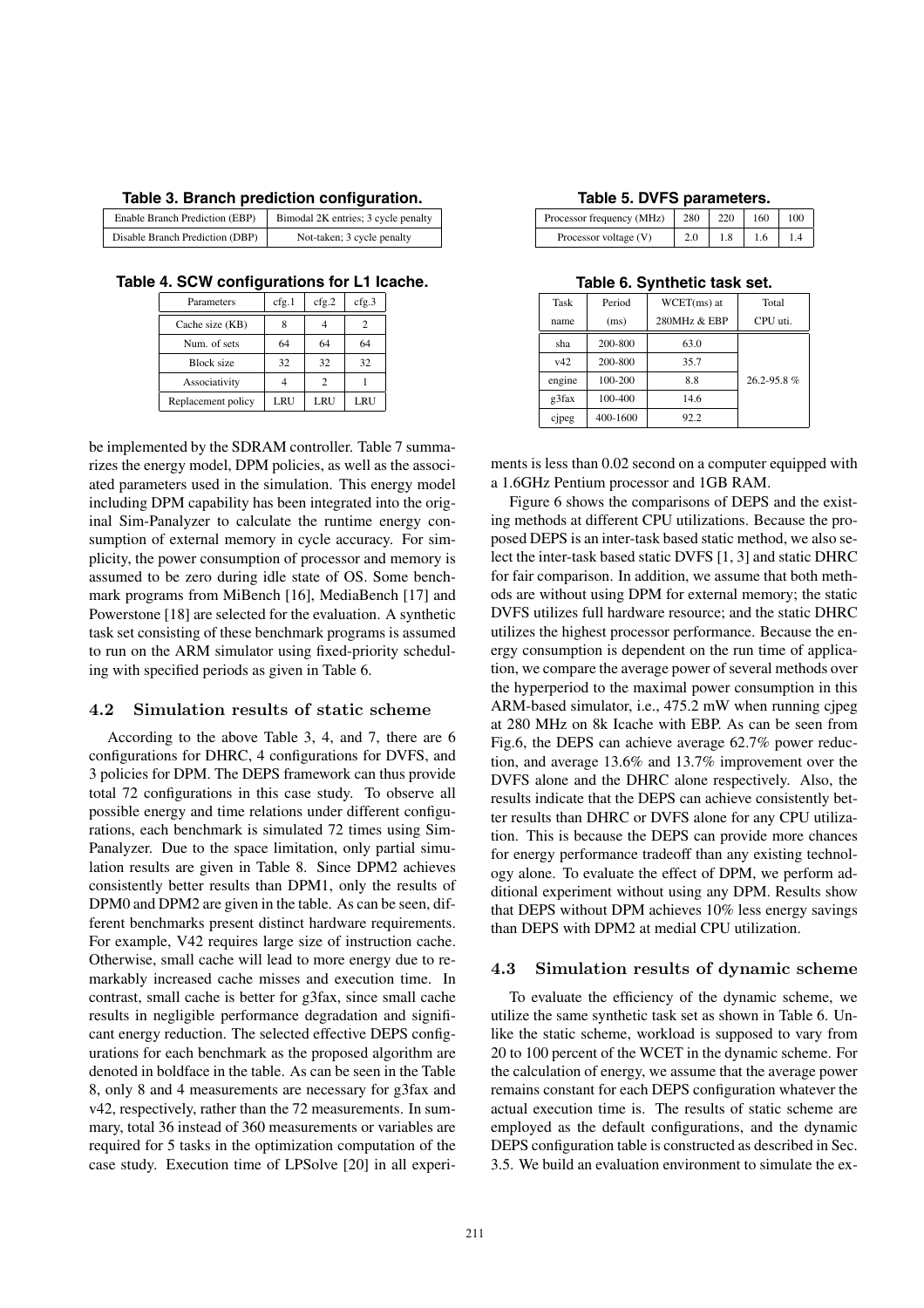| Table 3. Branch prediction configuration. |  |
|-------------------------------------------|--|
|-------------------------------------------|--|

| Enable Branch Prediction (EBP)  | Bimodal 2K entries; 3 cycle penalty |
|---------------------------------|-------------------------------------|
| Disable Branch Prediction (DBP) | Not-taken; 3 cycle penalty          |

**Table 4. SCW configurations for L1 Icache.**

| Parameters         | cfg.1 | cfg.2                       | cfg.3 |  |
|--------------------|-------|-----------------------------|-------|--|
| Cache size (KB)    |       |                             |       |  |
| Num. of sets       | 64    | 64                          | 64    |  |
| Block size         | 32    | 32                          | 32    |  |
| Associativity      |       | $\mathcal{D}_{\mathcal{A}}$ |       |  |
| Replacement policy | LRU   | LRU                         | LRU   |  |

be implemented by the SDRAM controller. Table 7 summarizes the energy model, DPM policies, as well as the associated parameters used in the simulation. This energy model including DPM capability has been integrated into the original Sim-Panalyzer to calculate the runtime energy consumption of external memory in cycle accuracy. For simplicity, the power consumption of processor and memory is assumed to be zero during idle state of OS. Some benchmark programs from MiBench [16], MediaBench [17] and Powerstone [18] are selected for the evaluation. A synthetic task set consisting of these benchmark programs is assumed to run on the ARM simulator using fixed-priority scheduling with specified periods as given in Table 6.

#### **4.2 Simulation results of static scheme**

According to the above Table 3, 4, and 7, there are 6 configurations for DHRC, 4 configurations for DVFS, and 3 policies for DPM. The DEPS framework can thus provide total 72 configurations in this case study. To observe all possible energy and time relations under different configurations, each benchmark is simulated 72 times using Sim-Panalyzer. Due to the space limitation, only partial simulation results are given in Table 8. Since DPM2 achieves consistently better results than DPM1, only the results of DPM0 and DPM2 are given in the table. As can be seen, different benchmarks present distinct hardware requirements. For example, V42 requires large size of instruction cache. Otherwise, small cache will lead to more energy due to remarkably increased cache misses and execution time. In contrast, small cache is better for g3fax, since small cache results in negligible performance degradation and significant energy reduction. The selected effective DEPS configurations for each benchmark as the proposed algorithm are denoted in boldface in the table. As can be seen in the Table 8, only 8 and 4 measurements are necessary for g3fax and v42, respectively, rather than the 72 measurements. In summary, total 36 instead of 360 measurements or variables are required for 5 tasks in the optimization computation of the case study. Execution time of LPSolve [20] in all experi-

| Table 5. DVFS parameters. |  |
|---------------------------|--|
|---------------------------|--|

| Processor frequency (MHz) | 280<br>220 |  | 160 | 100 |  |
|---------------------------|------------|--|-----|-----|--|
| Processor voltage (V)     | 2.0        |  |     |     |  |

| Task<br>Period |          | $WCET(ms)$ at | Total      |  |  |  |  |
|----------------|----------|---------------|------------|--|--|--|--|
| name           | (ms)     | 280MHz & EBP  | CPU uti.   |  |  |  |  |
| sha            | 200-800  | 63.0          |            |  |  |  |  |
| v42            | 200-800  | 35.7          |            |  |  |  |  |
| engine         | 100-200  | 8.8           | 26.2-95.8% |  |  |  |  |
| g3fax          | 100-400  | 14.6          |            |  |  |  |  |
| cipeg          | 400-1600 | 92.2          |            |  |  |  |  |

ments is less than 0.02 second on a computer equipped with a 1.6GHz Pentium processor and 1GB RAM.

Figure 6 shows the comparisons of DEPS and the existing methods at different CPU utilizations. Because the proposed DEPS is an inter-task based static method, we also select the inter-task based static DVFS [1, 3] and static DHRC for fair comparison. In addition, we assume that both methods are without using DPM for external memory; the static DVFS utilizes full hardware resource; and the static DHRC utilizes the highest processor performance. Because the energy consumption is dependent on the run time of application, we compare the average power of several methods over the hyperperiod to the maximal power consumption in this ARM-based simulator, i.e., 475.2 mW when running cjpeg at 280 MHz on 8k Icache with EBP. As can be seen from Fig.6, the DEPS can achieve average 62.7% power reduction, and average 13.6% and 13.7% improvement over the DVFS alone and the DHRC alone respectively. Also, the results indicate that the DEPS can achieve consistently better results than DHRC or DVFS alone for any CPU utilization. This is because the DEPS can provide more chances for energy performance tradeoff than any existing technology alone. To evaluate the effect of DPM, we perform additional experiment without using any DPM. Results show that DEPS without DPM achieves 10% less energy savings than DEPS with DPM2 at medial CPU utilization.

# **4.3 Simulation results of dynamic scheme**

To evaluate the efficiency of the dynamic scheme, we utilize the same synthetic task set as shown in Table 6. Unlike the static scheme, workload is supposed to vary from 20 to 100 percent of the WCET in the dynamic scheme. For the calculation of energy, we assume that the average power remains constant for each DEPS configuration whatever the actual execution time is. The results of static scheme are employed as the default configurations, and the dynamic DEPS configuration table is constructed as described in Sec. 3.5. We build an evaluation environment to simulate the ex-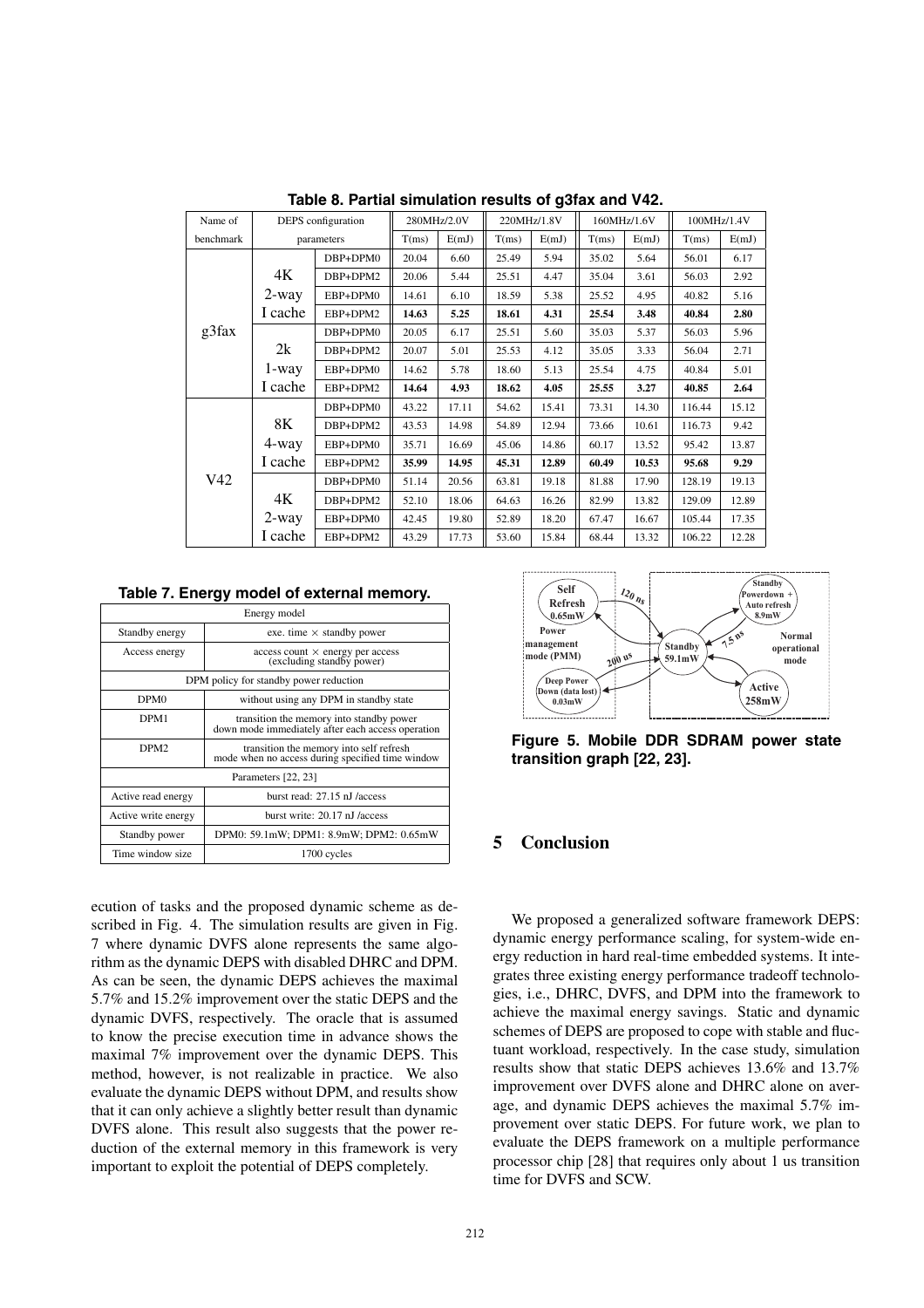| Name of   | DEPS configuration |            | 280MHz/2.0V |       | 220MHz/1.8V |       | 160MHz/1.6V |       | 100MHz/1.4V |       |
|-----------|--------------------|------------|-------------|-------|-------------|-------|-------------|-------|-------------|-------|
| benchmark |                    | parameters | T(ms)       | E(mJ) | T(ms)       | E(mJ) | T(ms)       | E(mJ) | T(ms)       | E(mJ) |
|           |                    | DBP+DPM0   | 20.04       | 6.60  | 25.49       | 5.94  | 35.02       | 5.64  | 56.01       | 6.17  |
|           | 4Κ                 | DBP+DPM2   | 20.06       | 5.44  | 25.51       | 4.47  | 35.04       | 3.61  | 56.03       | 2.92  |
|           | 2-way              | EBP+DPM0   | 14.61       | 6.10  | 18.59       | 5.38  | 25.52       | 4.95  | 40.82       | 5.16  |
|           | I cache            | EBP+DPM2   | 14.63       | 5.25  | 18.61       | 4.31  | 25.54       | 3.48  | 40.84       | 2.80  |
| g3fax     |                    | DBP+DPM0   | 20.05       | 6.17  | 25.51       | 5.60  | 35.03       | 5.37  | 56.03       | 5.96  |
|           | 2k                 | DBP+DPM2   | 20.07       | 5.01  | 25.53       | 4.12  | 35.05       | 3.33  | 56.04       | 2.71  |
|           | 1-way              | EBP+DPM0   | 14.62       | 5.78  | 18.60       | 5.13  | 25.54       | 4.75  | 40.84       | 5.01  |
|           | I cache            | EBP+DPM2   | 14.64       | 4.93  | 18.62       | 4.05  | 25.55       | 3.27  | 40.85       | 2.64  |
|           |                    | DBP+DPM0   | 43.22       | 17.11 | 54.62       | 15.41 | 73.31       | 14.30 | 116.44      | 15.12 |
|           | 8K                 | DBP+DPM2   | 43.53       | 14.98 | 54.89       | 12.94 | 73.66       | 10.61 | 116.73      | 9.42  |
|           | 4-way              | EBP+DPM0   | 35.71       | 16.69 | 45.06       | 14.86 | 60.17       | 13.52 | 95.42       | 13.87 |
|           | I cache            | EBP+DPM2   | 35.99       | 14.95 | 45.31       | 12.89 | 60.49       | 10.53 | 95.68       | 9.29  |
| V42       |                    | DBP+DPM0   | 51.14       | 20.56 | 63.81       | 19.18 | 81.88       | 17.90 | 128.19      | 19.13 |
|           | 4K                 | DBP+DPM2   | 52.10       | 18.06 | 64.63       | 16.26 | 82.99       | 13.82 | 129.09      | 12.89 |
|           | $2$ -way           | EBP+DPM0   | 42.45       | 19.80 | 52.89       | 18.20 | 67.47       | 16.67 | 105.44      | 17.35 |
|           | I cache            | EBP+DPM2   | 43.29       | 17.73 | 53.60       | 15.84 | 68.44       | 13.32 | 106.22      | 12.28 |

**Table 8. Partial simulation results of g3fax and V42.**

**Table 7. Energy model of external memory.**

| Energy model                                               |                                                                                               |  |  |  |  |  |
|------------------------------------------------------------|-----------------------------------------------------------------------------------------------|--|--|--|--|--|
| Standby energy                                             | exe. time $\times$ standby power                                                              |  |  |  |  |  |
| Access energy                                              | $access count \times energy per access$<br>(excluding standby power)                          |  |  |  |  |  |
| DPM policy for standby power reduction                     |                                                                                               |  |  |  |  |  |
| without using any DPM in standby state<br>DPM <sub>0</sub> |                                                                                               |  |  |  |  |  |
| DPM1                                                       | transition the memory into standby power<br>down mode immediately after each access operation |  |  |  |  |  |
| DPM <sub>2</sub>                                           | transition the memory into self refresh<br>mode when no access during specified time window   |  |  |  |  |  |
|                                                            | Parameters [22, 23]                                                                           |  |  |  |  |  |
| Active read energy                                         | burst read: 27.15 nJ /access                                                                  |  |  |  |  |  |
| Active write energy                                        | burst write: 20.17 nJ /access                                                                 |  |  |  |  |  |
| Standby power                                              | DPM0: 59.1mW; DPM1: 8.9mW; DPM2: 0.65mW                                                       |  |  |  |  |  |
| Time window size                                           | 1700 cycles                                                                                   |  |  |  |  |  |

ecution of tasks and the proposed dynamic scheme as described in Fig. 4. The simulation results are given in Fig. 7 where dynamic DVFS alone represents the same algorithm as the dynamic DEPS with disabled DHRC and DPM. As can be seen, the dynamic DEPS achieves the maximal 5.7% and 15.2% improvement over the static DEPS and the dynamic DVFS, respectively. The oracle that is assumed to know the precise execution time in advance shows the maximal 7% improvement over the dynamic DEPS. This method, however, is not realizable in practice. We also evaluate the dynamic DEPS without DPM, and results show that it can only achieve a slightly better result than dynamic DVFS alone. This result also suggests that the power reduction of the external memory in this framework is very important to exploit the potential of DEPS completely.



**Figure 5. Mobile DDR SDRAM power state transition graph [22, 23].**

# **5 Conclusion**

We proposed a generalized software framework DEPS: dynamic energy performance scaling, for system-wide energy reduction in hard real-time embedded systems. It integrates three existing energy performance tradeoff technologies, i.e., DHRC, DVFS, and DPM into the framework to achieve the maximal energy savings. Static and dynamic schemes of DEPS are proposed to cope with stable and fluctuant workload, respectively. In the case study, simulation results show that static DEPS achieves 13.6% and 13.7% improvement over DVFS alone and DHRC alone on average, and dynamic DEPS achieves the maximal 5.7% improvement over static DEPS. For future work, we plan to evaluate the DEPS framework on a multiple performance processor chip [28] that requires only about 1 us transition time for DVFS and SCW.